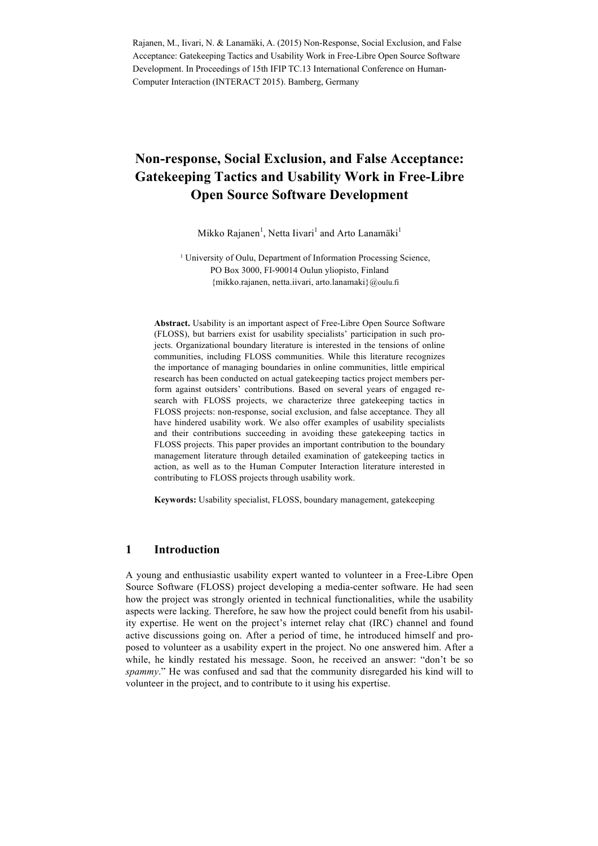Rajanen, M., Iivari, N. & Lanamäki, A. (2015) Non-Response, Social Exclusion, and False Acceptance: Gatekeeping Tactics and Usability Work in Free-Libre Open Source Software Development. In Proceedings of 15th IFIP TC.13 International Conference on Human-Computer Interaction (INTERACT 2015). Bamberg, Germany

# **Non-response, Social Exclusion, and False Acceptance: Gatekeeping Tactics and Usability Work in Free-Libre Open Source Software Development**

Mikko Rajanen<sup>1</sup>, Netta Iivari<sup>1</sup> and Arto Lanamäki<sup>1</sup>

<sup>1</sup> University of Oulu, Department of Information Processing Science, PO Box 3000, FI-90014 Oulun yliopisto, Finland {mikko.rajanen, netta.iivari, arto.lanamaki}@oulu.fi

**Abstract.** Usability is an important aspect of Free-Libre Open Source Software (FLOSS), but barriers exist for usability specialists' participation in such projects. Organizational boundary literature is interested in the tensions of online communities, including FLOSS communities. While this literature recognizes the importance of managing boundaries in online communities, little empirical research has been conducted on actual gatekeeping tactics project members perform against outsiders' contributions. Based on several years of engaged research with FLOSS projects, we characterize three gatekeeping tactics in FLOSS projects: non-response, social exclusion, and false acceptance. They all have hindered usability work. We also offer examples of usability specialists and their contributions succeeding in avoiding these gatekeeping tactics in FLOSS projects. This paper provides an important contribution to the boundary management literature through detailed examination of gatekeeping tactics in action, as well as to the Human Computer Interaction literature interested in contributing to FLOSS projects through usability work.

**Keywords:** Usability specialist, FLOSS, boundary management, gatekeeping

# **1 Introduction**

A young and enthusiastic usability expert wanted to volunteer in a Free-Libre Open Source Software (FLOSS) project developing a media-center software. He had seen how the project was strongly oriented in technical functionalities, while the usability aspects were lacking. Therefore, he saw how the project could benefit from his usability expertise. He went on the project's internet relay chat (IRC) channel and found active discussions going on. After a period of time, he introduced himself and proposed to volunteer as a usability expert in the project. No one answered him. After a while, he kindly restated his message. Soon, he received an answer: "don't be so *spammy*." He was confused and sad that the community disregarded his kind will to volunteer in the project, and to contribute to it using his expertise.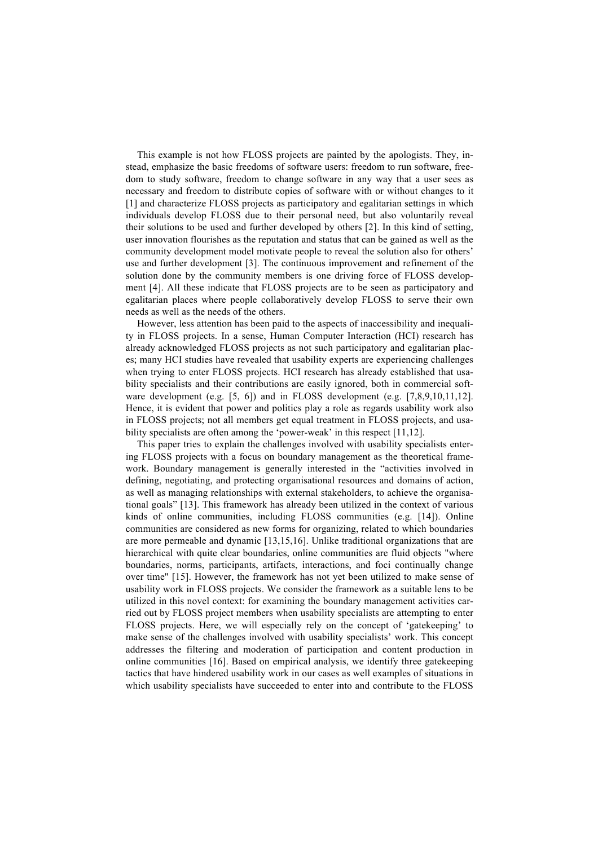This example is not how FLOSS projects are painted by the apologists. They, instead, emphasize the basic freedoms of software users: freedom to run software, freedom to study software, freedom to change software in any way that a user sees as necessary and freedom to distribute copies of software with or without changes to it [1] and characterize FLOSS projects as participatory and egalitarian settings in which individuals develop FLOSS due to their personal need, but also voluntarily reveal their solutions to be used and further developed by others [2]. In this kind of setting, user innovation flourishes as the reputation and status that can be gained as well as the community development model motivate people to reveal the solution also for others' use and further development [3]. The continuous improvement and refinement of the solution done by the community members is one driving force of FLOSS development [4]. All these indicate that FLOSS projects are to be seen as participatory and egalitarian places where people collaboratively develop FLOSS to serve their own needs as well as the needs of the others.

However, less attention has been paid to the aspects of inaccessibility and inequality in FLOSS projects. In a sense, Human Computer Interaction (HCI) research has already acknowledged FLOSS projects as not such participatory and egalitarian places; many HCI studies have revealed that usability experts are experiencing challenges when trying to enter FLOSS projects. HCI research has already established that usability specialists and their contributions are easily ignored, both in commercial software development (e.g. [5, 6]) and in FLOSS development (e.g. [7,8,9,10,11,12]. Hence, it is evident that power and politics play a role as regards usability work also in FLOSS projects; not all members get equal treatment in FLOSS projects, and usability specialists are often among the 'power-weak' in this respect [11,12].

This paper tries to explain the challenges involved with usability specialists entering FLOSS projects with a focus on boundary management as the theoretical framework. Boundary management is generally interested in the "activities involved in defining, negotiating, and protecting organisational resources and domains of action, as well as managing relationships with external stakeholders, to achieve the organisational goals" [13]. This framework has already been utilized in the context of various kinds of online communities, including FLOSS communities (e.g. [14]). Online communities are considered as new forms for organizing, related to which boundaries are more permeable and dynamic [13,15,16]. Unlike traditional organizations that are hierarchical with quite clear boundaries, online communities are fluid objects "where boundaries, norms, participants, artifacts, interactions, and foci continually change over time" [15]. However, the framework has not yet been utilized to make sense of usability work in FLOSS projects. We consider the framework as a suitable lens to be utilized in this novel context: for examining the boundary management activities carried out by FLOSS project members when usability specialists are attempting to enter FLOSS projects. Here, we will especially rely on the concept of 'gatekeeping' to make sense of the challenges involved with usability specialists' work. This concept addresses the filtering and moderation of participation and content production in online communities [16]. Based on empirical analysis, we identify three gatekeeping tactics that have hindered usability work in our cases as well examples of situations in which usability specialists have succeeded to enter into and contribute to the FLOSS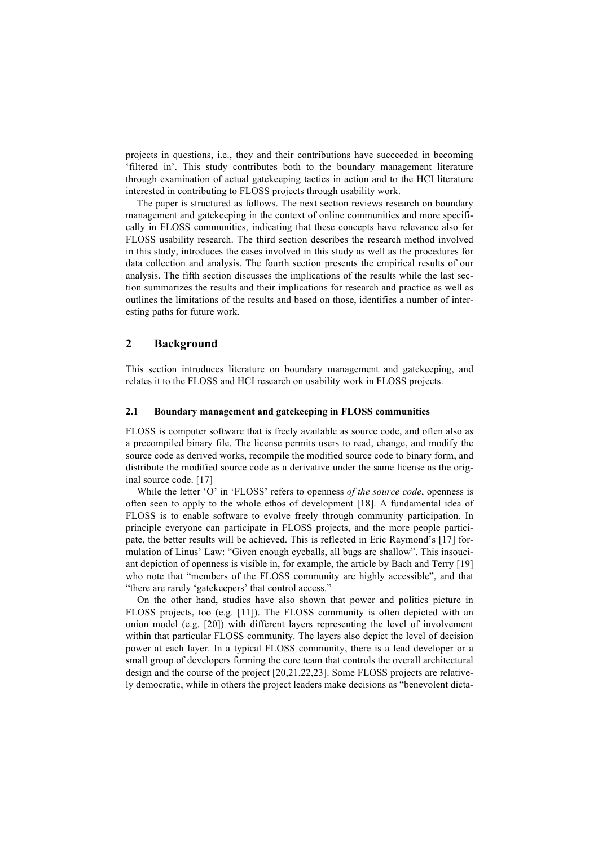projects in questions, i.e., they and their contributions have succeeded in becoming 'filtered in'. This study contributes both to the boundary management literature through examination of actual gatekeeping tactics in action and to the HCI literature interested in contributing to FLOSS projects through usability work.

The paper is structured as follows. The next section reviews research on boundary management and gatekeeping in the context of online communities and more specifically in FLOSS communities, indicating that these concepts have relevance also for FLOSS usability research. The third section describes the research method involved in this study, introduces the cases involved in this study as well as the procedures for data collection and analysis. The fourth section presents the empirical results of our analysis. The fifth section discusses the implications of the results while the last section summarizes the results and their implications for research and practice as well as outlines the limitations of the results and based on those, identifies a number of interesting paths for future work.

# **2 Background**

This section introduces literature on boundary management and gatekeeping, and relates it to the FLOSS and HCI research on usability work in FLOSS projects.

#### **2.1 Boundary management and gatekeeping in FLOSS communities**

FLOSS is computer software that is freely available as source code, and often also as a precompiled binary file. The license permits users to read, change, and modify the source code as derived works, recompile the modified source code to binary form, and distribute the modified source code as a derivative under the same license as the original source code. [17]

While the letter 'O' in 'FLOSS' refers to openness *of the source code*, openness is often seen to apply to the whole ethos of development [18]. A fundamental idea of FLOSS is to enable software to evolve freely through community participation. In principle everyone can participate in FLOSS projects, and the more people participate, the better results will be achieved. This is reflected in Eric Raymond's [17] formulation of Linus' Law: "Given enough eyeballs, all bugs are shallow". This insouciant depiction of openness is visible in, for example, the article by Bach and Terry [19] who note that "members of the FLOSS community are highly accessible", and that "there are rarely 'gatekeepers' that control access."

On the other hand, studies have also shown that power and politics picture in FLOSS projects, too (e.g. [11]). The FLOSS community is often depicted with an onion model (e.g. [20]) with different layers representing the level of involvement within that particular FLOSS community. The layers also depict the level of decision power at each layer. In a typical FLOSS community, there is a lead developer or a small group of developers forming the core team that controls the overall architectural design and the course of the project [20,21,22,23]. Some FLOSS projects are relatively democratic, while in others the project leaders make decisions as "benevolent dicta-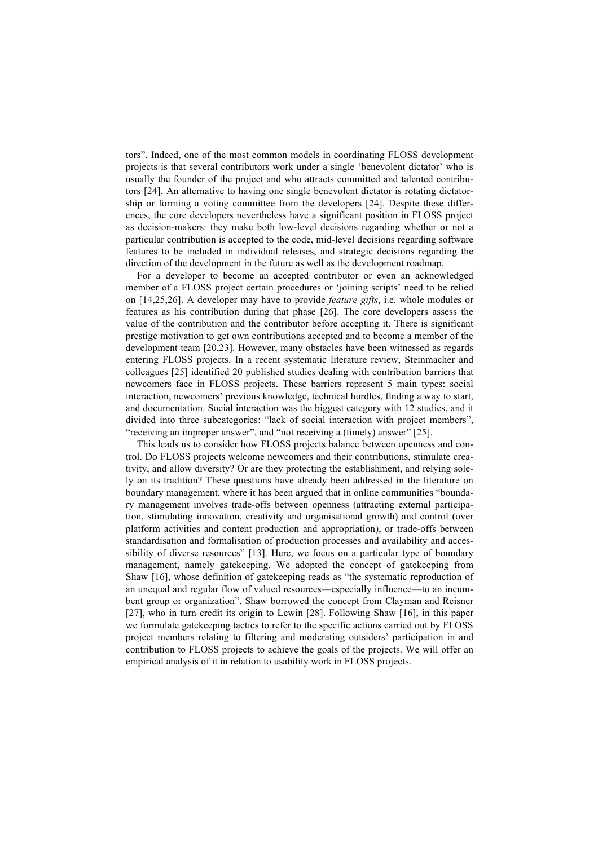tors". Indeed, one of the most common models in coordinating FLOSS development projects is that several contributors work under a single 'benevolent dictator' who is usually the founder of the project and who attracts committed and talented contributors [24]. An alternative to having one single benevolent dictator is rotating dictatorship or forming a voting committee from the developers [24]. Despite these differences, the core developers nevertheless have a significant position in FLOSS project as decision-makers: they make both low-level decisions regarding whether or not a particular contribution is accepted to the code, mid-level decisions regarding software features to be included in individual releases, and strategic decisions regarding the direction of the development in the future as well as the development roadmap.

For a developer to become an accepted contributor or even an acknowledged member of a FLOSS project certain procedures or 'joining scripts' need to be relied on [14,25,26]. A developer may have to provide *feature gifts*, i.e. whole modules or features as his contribution during that phase [26]. The core developers assess the value of the contribution and the contributor before accepting it. There is significant prestige motivation to get own contributions accepted and to become a member of the development team [20,23]. However, many obstacles have been witnessed as regards entering FLOSS projects. In a recent systematic literature review, Steinmacher and colleagues [25] identified 20 published studies dealing with contribution barriers that newcomers face in FLOSS projects. These barriers represent 5 main types: social interaction, newcomers' previous knowledge, technical hurdles, finding a way to start, and documentation. Social interaction was the biggest category with 12 studies, and it divided into three subcategories: "lack of social interaction with project members", "receiving an improper answer", and "not receiving a (timely) answer" [25].

This leads us to consider how FLOSS projects balance between openness and control. Do FLOSS projects welcome newcomers and their contributions, stimulate creativity, and allow diversity? Or are they protecting the establishment, and relying solely on its tradition? These questions have already been addressed in the literature on boundary management, where it has been argued that in online communities "boundary management involves trade-offs between openness (attracting external participation, stimulating innovation, creativity and organisational growth) and control (over platform activities and content production and appropriation), or trade-offs between standardisation and formalisation of production processes and availability and accessibility of diverse resources" [13]. Here, we focus on a particular type of boundary management, namely gatekeeping. We adopted the concept of gatekeeping from Shaw [16], whose definition of gatekeeping reads as "the systematic reproduction of an unequal and regular flow of valued resources—especially influence—to an incumbent group or organization". Shaw borrowed the concept from Clayman and Reisner [27], who in turn credit its origin to Lewin [28]. Following Shaw [16], in this paper we formulate gatekeeping tactics to refer to the specific actions carried out by FLOSS project members relating to filtering and moderating outsiders' participation in and contribution to FLOSS projects to achieve the goals of the projects. We will offer an empirical analysis of it in relation to usability work in FLOSS projects.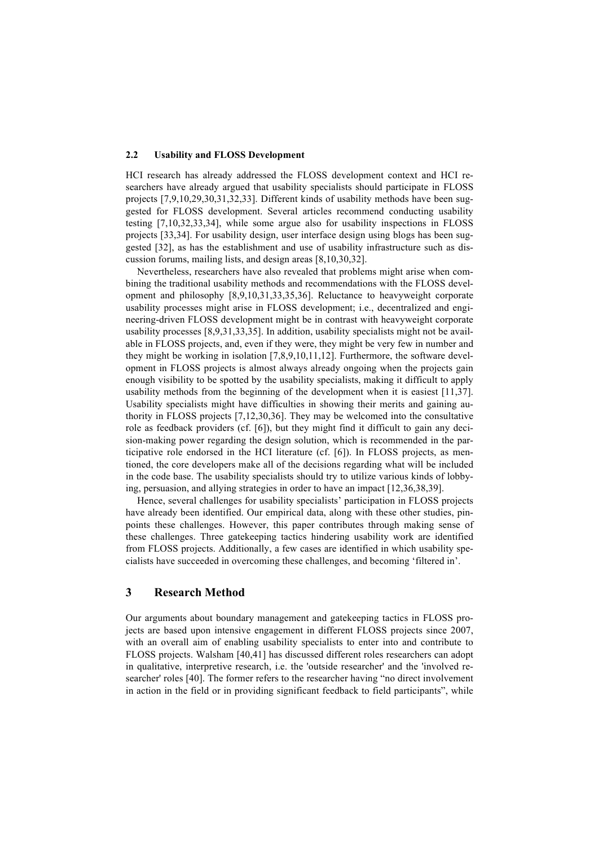#### **2.2 Usability and FLOSS Development**

HCI research has already addressed the FLOSS development context and HCI researchers have already argued that usability specialists should participate in FLOSS projects [7,9,10,29,30,31,32,33]. Different kinds of usability methods have been suggested for FLOSS development. Several articles recommend conducting usability testing [7,10,32,33,34], while some argue also for usability inspections in FLOSS projects [33,34]. For usability design, user interface design using blogs has been suggested [32], as has the establishment and use of usability infrastructure such as discussion forums, mailing lists, and design areas [8,10,30,32].

Nevertheless, researchers have also revealed that problems might arise when combining the traditional usability methods and recommendations with the FLOSS development and philosophy [8,9,10,31,33,35,36]. Reluctance to heavyweight corporate usability processes might arise in FLOSS development; i.e., decentralized and engineering-driven FLOSS development might be in contrast with heavyweight corporate usability processes [8,9,31,33,35]. In addition, usability specialists might not be available in FLOSS projects, and, even if they were, they might be very few in number and they might be working in isolation [7,8,9,10,11,12]. Furthermore, the software development in FLOSS projects is almost always already ongoing when the projects gain enough visibility to be spotted by the usability specialists, making it difficult to apply usability methods from the beginning of the development when it is easiest [11,37]. Usability specialists might have difficulties in showing their merits and gaining authority in FLOSS projects [7,12,30,36]. They may be welcomed into the consultative role as feedback providers (cf. [6]), but they might find it difficult to gain any decision-making power regarding the design solution, which is recommended in the participative role endorsed in the HCI literature (cf. [6]). In FLOSS projects, as mentioned, the core developers make all of the decisions regarding what will be included in the code base. The usability specialists should try to utilize various kinds of lobbying, persuasion, and allying strategies in order to have an impact [12,36,38,39].

Hence, several challenges for usability specialists' participation in FLOSS projects have already been identified. Our empirical data, along with these other studies, pinpoints these challenges. However, this paper contributes through making sense of these challenges. Three gatekeeping tactics hindering usability work are identified from FLOSS projects. Additionally, a few cases are identified in which usability specialists have succeeded in overcoming these challenges, and becoming 'filtered in'.

# **3 Research Method**

Our arguments about boundary management and gatekeeping tactics in FLOSS projects are based upon intensive engagement in different FLOSS projects since 2007, with an overall aim of enabling usability specialists to enter into and contribute to FLOSS projects. Walsham [40,41] has discussed different roles researchers can adopt in qualitative, interpretive research, i.e. the 'outside researcher' and the 'involved researcher' roles [40]. The former refers to the researcher having "no direct involvement in action in the field or in providing significant feedback to field participants", while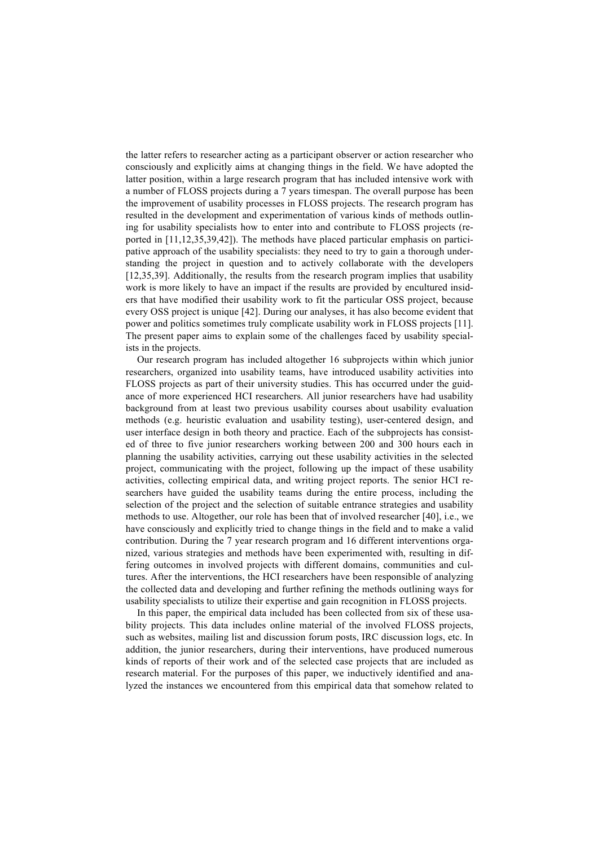the latter refers to researcher acting as a participant observer or action researcher who consciously and explicitly aims at changing things in the field. We have adopted the latter position, within a large research program that has included intensive work with a number of FLOSS projects during a 7 years timespan. The overall purpose has been the improvement of usability processes in FLOSS projects. The research program has resulted in the development and experimentation of various kinds of methods outlining for usability specialists how to enter into and contribute to FLOSS projects (reported in [11,12,35,39,42]). The methods have placed particular emphasis on participative approach of the usability specialists: they need to try to gain a thorough understanding the project in question and to actively collaborate with the developers [12,35,39]. Additionally, the results from the research program implies that usability work is more likely to have an impact if the results are provided by encultured insiders that have modified their usability work to fit the particular OSS project, because every OSS project is unique [42]. During our analyses, it has also become evident that power and politics sometimes truly complicate usability work in FLOSS projects [11]. The present paper aims to explain some of the challenges faced by usability specialists in the projects.

Our research program has included altogether 16 subprojects within which junior researchers, organized into usability teams, have introduced usability activities into FLOSS projects as part of their university studies. This has occurred under the guidance of more experienced HCI researchers. All junior researchers have had usability background from at least two previous usability courses about usability evaluation methods (e.g. heuristic evaluation and usability testing), user-centered design, and user interface design in both theory and practice. Each of the subprojects has consisted of three to five junior researchers working between 200 and 300 hours each in planning the usability activities, carrying out these usability activities in the selected project, communicating with the project, following up the impact of these usability activities, collecting empirical data, and writing project reports. The senior HCI researchers have guided the usability teams during the entire process, including the selection of the project and the selection of suitable entrance strategies and usability methods to use. Altogether, our role has been that of involved researcher [40], i.e., we have consciously and explicitly tried to change things in the field and to make a valid contribution. During the 7 year research program and 16 different interventions organized, various strategies and methods have been experimented with, resulting in differing outcomes in involved projects with different domains, communities and cultures. After the interventions, the HCI researchers have been responsible of analyzing the collected data and developing and further refining the methods outlining ways for usability specialists to utilize their expertise and gain recognition in FLOSS projects.

In this paper, the empirical data included has been collected from six of these usability projects. This data includes online material of the involved FLOSS projects, such as websites, mailing list and discussion forum posts, IRC discussion logs, etc. In addition, the junior researchers, during their interventions, have produced numerous kinds of reports of their work and of the selected case projects that are included as research material. For the purposes of this paper, we inductively identified and analyzed the instances we encountered from this empirical data that somehow related to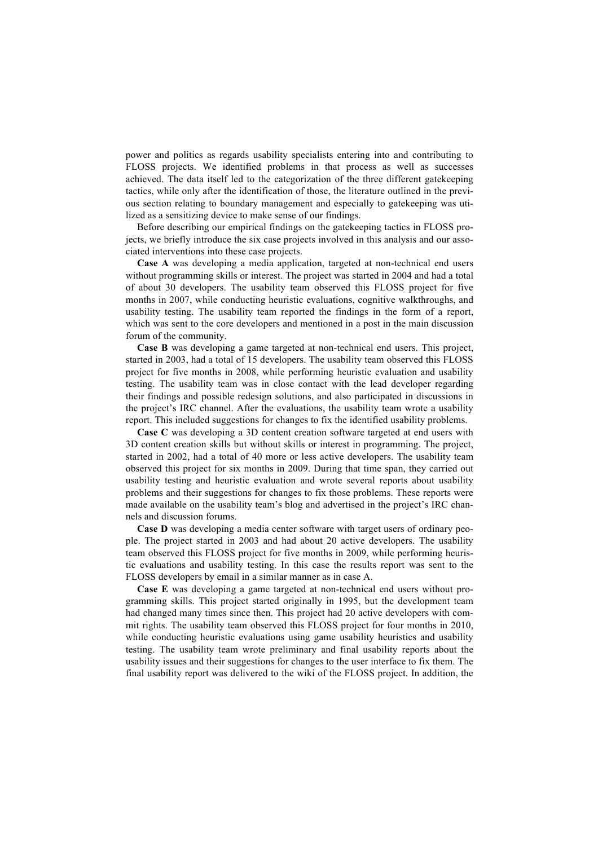power and politics as regards usability specialists entering into and contributing to FLOSS projects. We identified problems in that process as well as successes achieved. The data itself led to the categorization of the three different gatekeeping tactics, while only after the identification of those, the literature outlined in the previous section relating to boundary management and especially to gatekeeping was utilized as a sensitizing device to make sense of our findings.

Before describing our empirical findings on the gatekeeping tactics in FLOSS projects, we briefly introduce the six case projects involved in this analysis and our associated interventions into these case projects.

**Case A** was developing a media application, targeted at non-technical end users without programming skills or interest. The project was started in 2004 and had a total of about 30 developers. The usability team observed this FLOSS project for five months in 2007, while conducting heuristic evaluations, cognitive walkthroughs, and usability testing. The usability team reported the findings in the form of a report, which was sent to the core developers and mentioned in a post in the main discussion forum of the community.

**Case B** was developing a game targeted at non-technical end users. This project, started in 2003, had a total of 15 developers. The usability team observed this FLOSS project for five months in 2008, while performing heuristic evaluation and usability testing. The usability team was in close contact with the lead developer regarding their findings and possible redesign solutions, and also participated in discussions in the project's IRC channel. After the evaluations, the usability team wrote a usability report. This included suggestions for changes to fix the identified usability problems.

**Case C** was developing a 3D content creation software targeted at end users with 3D content creation skills but without skills or interest in programming. The project, started in 2002, had a total of 40 more or less active developers. The usability team observed this project for six months in 2009. During that time span, they carried out usability testing and heuristic evaluation and wrote several reports about usability problems and their suggestions for changes to fix those problems. These reports were made available on the usability team's blog and advertised in the project's IRC channels and discussion forums.

**Case D** was developing a media center software with target users of ordinary people. The project started in 2003 and had about 20 active developers. The usability team observed this FLOSS project for five months in 2009, while performing heuristic evaluations and usability testing. In this case the results report was sent to the FLOSS developers by email in a similar manner as in case A.

**Case E** was developing a game targeted at non-technical end users without programming skills. This project started originally in 1995, but the development team had changed many times since then. This project had 20 active developers with commit rights. The usability team observed this FLOSS project for four months in 2010, while conducting heuristic evaluations using game usability heuristics and usability testing. The usability team wrote preliminary and final usability reports about the usability issues and their suggestions for changes to the user interface to fix them. The final usability report was delivered to the wiki of the FLOSS project. In addition, the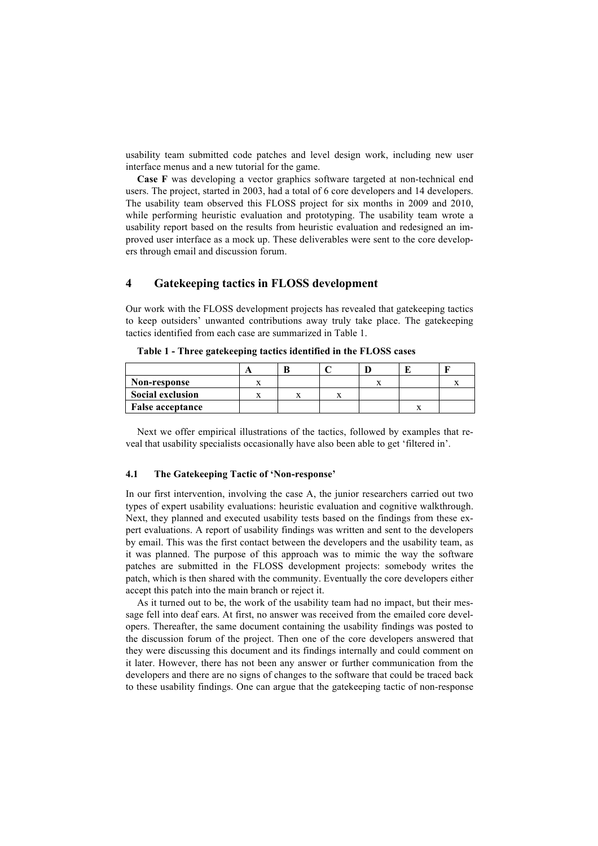usability team submitted code patches and level design work, including new user interface menus and a new tutorial for the game.

**Case F** was developing a vector graphics software targeted at non-technical end users. The project, started in 2003, had a total of 6 core developers and 14 developers. The usability team observed this FLOSS project for six months in 2009 and 2010, while performing heuristic evaluation and prototyping. The usability team wrote a usability report based on the results from heuristic evaluation and redesigned an improved user interface as a mock up. These deliverables were sent to the core developers through email and discussion forum.

# **4 Gatekeeping tactics in FLOSS development**

Our work with the FLOSS development projects has revealed that gatekeeping tactics to keep outsiders' unwanted contributions away truly take place. The gatekeeping tactics identified from each case are summarized in Table 1.

|                         | A |  |  |  |
|-------------------------|---|--|--|--|
| Non-response            |   |  |  |  |
| <b>Social exclusion</b> |   |  |  |  |
| <b>False acceptance</b> |   |  |  |  |

**Table 1 - Three gatekeeping tactics identified in the FLOSS cases**

Next we offer empirical illustrations of the tactics, followed by examples that reveal that usability specialists occasionally have also been able to get 'filtered in'.

#### **4.1 The Gatekeeping Tactic of 'Non-response'**

In our first intervention, involving the case A, the junior researchers carried out two types of expert usability evaluations: heuristic evaluation and cognitive walkthrough. Next, they planned and executed usability tests based on the findings from these expert evaluations. A report of usability findings was written and sent to the developers by email. This was the first contact between the developers and the usability team, as it was planned. The purpose of this approach was to mimic the way the software patches are submitted in the FLOSS development projects: somebody writes the patch, which is then shared with the community. Eventually the core developers either accept this patch into the main branch or reject it.

As it turned out to be, the work of the usability team had no impact, but their message fell into deaf ears. At first, no answer was received from the emailed core developers. Thereafter, the same document containing the usability findings was posted to the discussion forum of the project. Then one of the core developers answered that they were discussing this document and its findings internally and could comment on it later. However, there has not been any answer or further communication from the developers and there are no signs of changes to the software that could be traced back to these usability findings. One can argue that the gatekeeping tactic of non-response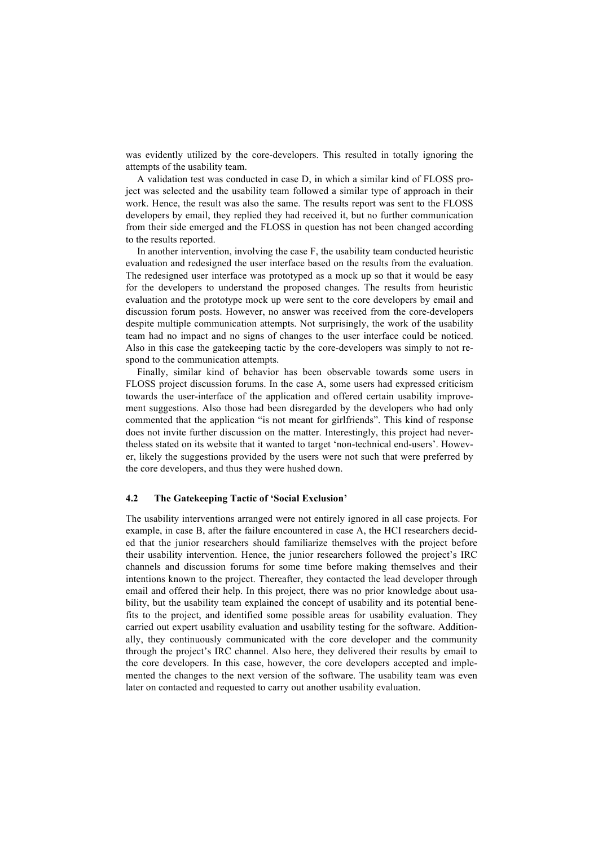was evidently utilized by the core-developers. This resulted in totally ignoring the attempts of the usability team.

A validation test was conducted in case D, in which a similar kind of FLOSS project was selected and the usability team followed a similar type of approach in their work. Hence, the result was also the same. The results report was sent to the FLOSS developers by email, they replied they had received it, but no further communication from their side emerged and the FLOSS in question has not been changed according to the results reported.

In another intervention, involving the case F, the usability team conducted heuristic evaluation and redesigned the user interface based on the results from the evaluation. The redesigned user interface was prototyped as a mock up so that it would be easy for the developers to understand the proposed changes. The results from heuristic evaluation and the prototype mock up were sent to the core developers by email and discussion forum posts. However, no answer was received from the core-developers despite multiple communication attempts. Not surprisingly, the work of the usability team had no impact and no signs of changes to the user interface could be noticed. Also in this case the gatekeeping tactic by the core-developers was simply to not respond to the communication attempts.

Finally, similar kind of behavior has been observable towards some users in FLOSS project discussion forums. In the case A, some users had expressed criticism towards the user-interface of the application and offered certain usability improvement suggestions. Also those had been disregarded by the developers who had only commented that the application "is not meant for girlfriends". This kind of response does not invite further discussion on the matter. Interestingly, this project had nevertheless stated on its website that it wanted to target 'non-technical end-users'. However, likely the suggestions provided by the users were not such that were preferred by the core developers, and thus they were hushed down.

#### **4.2 The Gatekeeping Tactic of 'Social Exclusion'**

The usability interventions arranged were not entirely ignored in all case projects. For example, in case B, after the failure encountered in case A, the HCI researchers decided that the junior researchers should familiarize themselves with the project before their usability intervention. Hence, the junior researchers followed the project's IRC channels and discussion forums for some time before making themselves and their intentions known to the project. Thereafter, they contacted the lead developer through email and offered their help. In this project, there was no prior knowledge about usability, but the usability team explained the concept of usability and its potential benefits to the project, and identified some possible areas for usability evaluation. They carried out expert usability evaluation and usability testing for the software. Additionally, they continuously communicated with the core developer and the community through the project's IRC channel. Also here, they delivered their results by email to the core developers. In this case, however, the core developers accepted and implemented the changes to the next version of the software. The usability team was even later on contacted and requested to carry out another usability evaluation.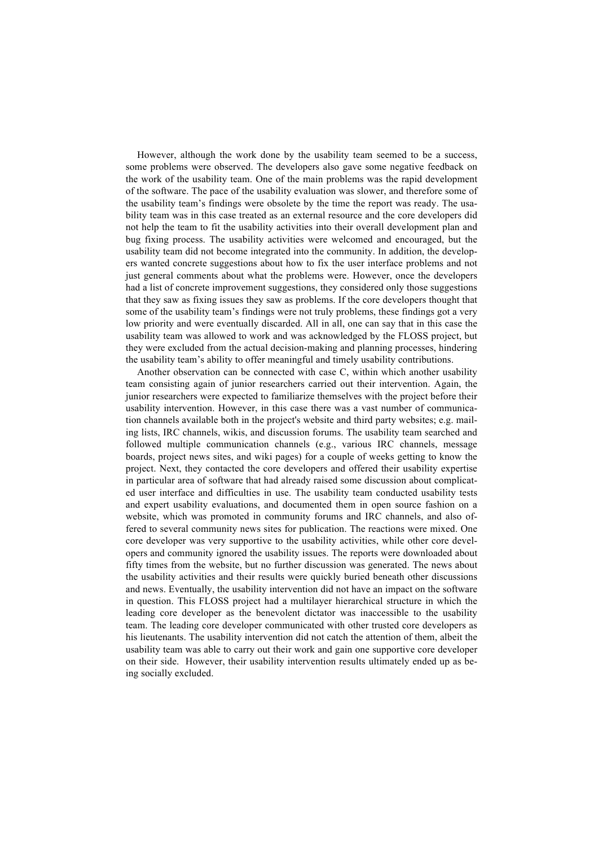However, although the work done by the usability team seemed to be a success, some problems were observed. The developers also gave some negative feedback on the work of the usability team. One of the main problems was the rapid development of the software. The pace of the usability evaluation was slower, and therefore some of the usability team's findings were obsolete by the time the report was ready. The usability team was in this case treated as an external resource and the core developers did not help the team to fit the usability activities into their overall development plan and bug fixing process. The usability activities were welcomed and encouraged, but the usability team did not become integrated into the community. In addition, the developers wanted concrete suggestions about how to fix the user interface problems and not just general comments about what the problems were. However, once the developers had a list of concrete improvement suggestions, they considered only those suggestions that they saw as fixing issues they saw as problems. If the core developers thought that some of the usability team's findings were not truly problems, these findings got a very low priority and were eventually discarded. All in all, one can say that in this case the usability team was allowed to work and was acknowledged by the FLOSS project, but they were excluded from the actual decision-making and planning processes, hindering the usability team's ability to offer meaningful and timely usability contributions.

Another observation can be connected with case C, within which another usability team consisting again of junior researchers carried out their intervention. Again, the junior researchers were expected to familiarize themselves with the project before their usability intervention. However, in this case there was a vast number of communication channels available both in the project's website and third party websites; e.g. mailing lists, IRC channels, wikis, and discussion forums. The usability team searched and followed multiple communication channels (e.g., various IRC channels, message boards, project news sites, and wiki pages) for a couple of weeks getting to know the project. Next, they contacted the core developers and offered their usability expertise in particular area of software that had already raised some discussion about complicated user interface and difficulties in use. The usability team conducted usability tests and expert usability evaluations, and documented them in open source fashion on a website, which was promoted in community forums and IRC channels, and also offered to several community news sites for publication. The reactions were mixed. One core developer was very supportive to the usability activities, while other core developers and community ignored the usability issues. The reports were downloaded about fifty times from the website, but no further discussion was generated. The news about the usability activities and their results were quickly buried beneath other discussions and news. Eventually, the usability intervention did not have an impact on the software in question. This FLOSS project had a multilayer hierarchical structure in which the leading core developer as the benevolent dictator was inaccessible to the usability team. The leading core developer communicated with other trusted core developers as his lieutenants. The usability intervention did not catch the attention of them, albeit the usability team was able to carry out their work and gain one supportive core developer on their side. However, their usability intervention results ultimately ended up as being socially excluded.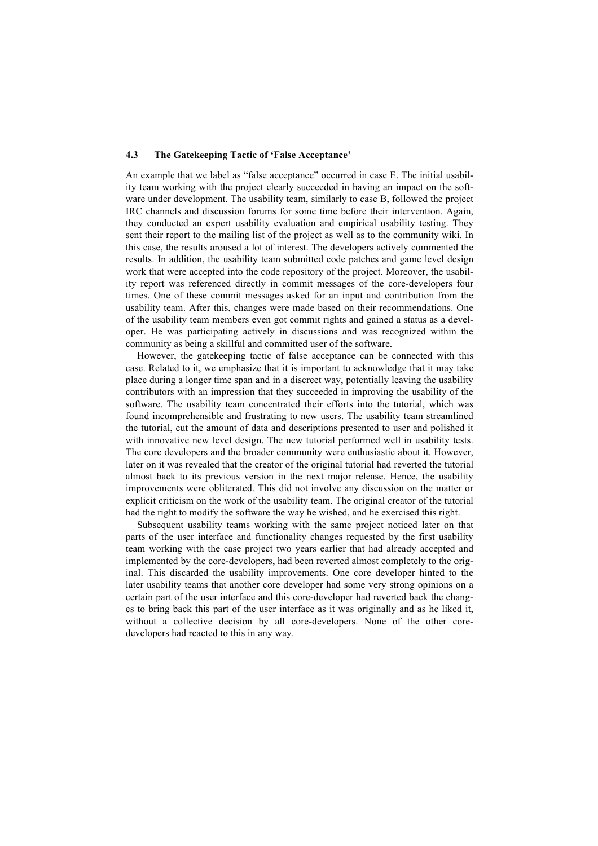#### **4.3 The Gatekeeping Tactic of 'False Acceptance'**

An example that we label as "false acceptance" occurred in case E. The initial usability team working with the project clearly succeeded in having an impact on the software under development. The usability team, similarly to case B, followed the project IRC channels and discussion forums for some time before their intervention. Again, they conducted an expert usability evaluation and empirical usability testing. They sent their report to the mailing list of the project as well as to the community wiki. In this case, the results aroused a lot of interest. The developers actively commented the results. In addition, the usability team submitted code patches and game level design work that were accepted into the code repository of the project. Moreover, the usability report was referenced directly in commit messages of the core-developers four times. One of these commit messages asked for an input and contribution from the usability team. After this, changes were made based on their recommendations. One of the usability team members even got commit rights and gained a status as a developer. He was participating actively in discussions and was recognized within the community as being a skillful and committed user of the software.

However, the gatekeeping tactic of false acceptance can be connected with this case. Related to it, we emphasize that it is important to acknowledge that it may take place during a longer time span and in a discreet way, potentially leaving the usability contributors with an impression that they succeeded in improving the usability of the software. The usability team concentrated their efforts into the tutorial, which was found incomprehensible and frustrating to new users. The usability team streamlined the tutorial, cut the amount of data and descriptions presented to user and polished it with innovative new level design. The new tutorial performed well in usability tests. The core developers and the broader community were enthusiastic about it. However, later on it was revealed that the creator of the original tutorial had reverted the tutorial almost back to its previous version in the next major release. Hence, the usability improvements were obliterated. This did not involve any discussion on the matter or explicit criticism on the work of the usability team. The original creator of the tutorial had the right to modify the software the way he wished, and he exercised this right.

Subsequent usability teams working with the same project noticed later on that parts of the user interface and functionality changes requested by the first usability team working with the case project two years earlier that had already accepted and implemented by the core-developers, had been reverted almost completely to the original. This discarded the usability improvements. One core developer hinted to the later usability teams that another core developer had some very strong opinions on a certain part of the user interface and this core-developer had reverted back the changes to bring back this part of the user interface as it was originally and as he liked it, without a collective decision by all core-developers. None of the other coredevelopers had reacted to this in any way.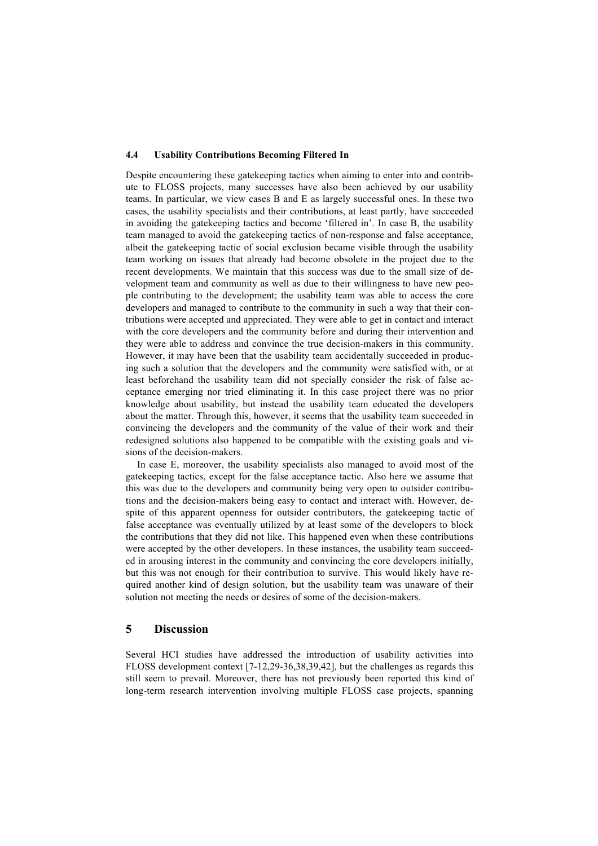#### **4.4 Usability Contributions Becoming Filtered In**

Despite encountering these gatekeeping tactics when aiming to enter into and contribute to FLOSS projects, many successes have also been achieved by our usability teams. In particular, we view cases B and E as largely successful ones. In these two cases, the usability specialists and their contributions, at least partly, have succeeded in avoiding the gatekeeping tactics and become 'filtered in'. In case B, the usability team managed to avoid the gatekeeping tactics of non-response and false acceptance, albeit the gatekeeping tactic of social exclusion became visible through the usability team working on issues that already had become obsolete in the project due to the recent developments. We maintain that this success was due to the small size of development team and community as well as due to their willingness to have new people contributing to the development; the usability team was able to access the core developers and managed to contribute to the community in such a way that their contributions were accepted and appreciated. They were able to get in contact and interact with the core developers and the community before and during their intervention and they were able to address and convince the true decision-makers in this community. However, it may have been that the usability team accidentally succeeded in producing such a solution that the developers and the community were satisfied with, or at least beforehand the usability team did not specially consider the risk of false acceptance emerging nor tried eliminating it. In this case project there was no prior knowledge about usability, but instead the usability team educated the developers about the matter. Through this, however, it seems that the usability team succeeded in convincing the developers and the community of the value of their work and their redesigned solutions also happened to be compatible with the existing goals and visions of the decision-makers.

In case E, moreover, the usability specialists also managed to avoid most of the gatekeeping tactics, except for the false acceptance tactic. Also here we assume that this was due to the developers and community being very open to outsider contributions and the decision-makers being easy to contact and interact with. However, despite of this apparent openness for outsider contributors, the gatekeeping tactic of false acceptance was eventually utilized by at least some of the developers to block the contributions that they did not like. This happened even when these contributions were accepted by the other developers. In these instances, the usability team succeeded in arousing interest in the community and convincing the core developers initially, but this was not enough for their contribution to survive. This would likely have required another kind of design solution, but the usability team was unaware of their solution not meeting the needs or desires of some of the decision-makers.

### **5 Discussion**

Several HCI studies have addressed the introduction of usability activities into FLOSS development context [7-12,29-36,38,39,42], but the challenges as regards this still seem to prevail. Moreover, there has not previously been reported this kind of long-term research intervention involving multiple FLOSS case projects, spanning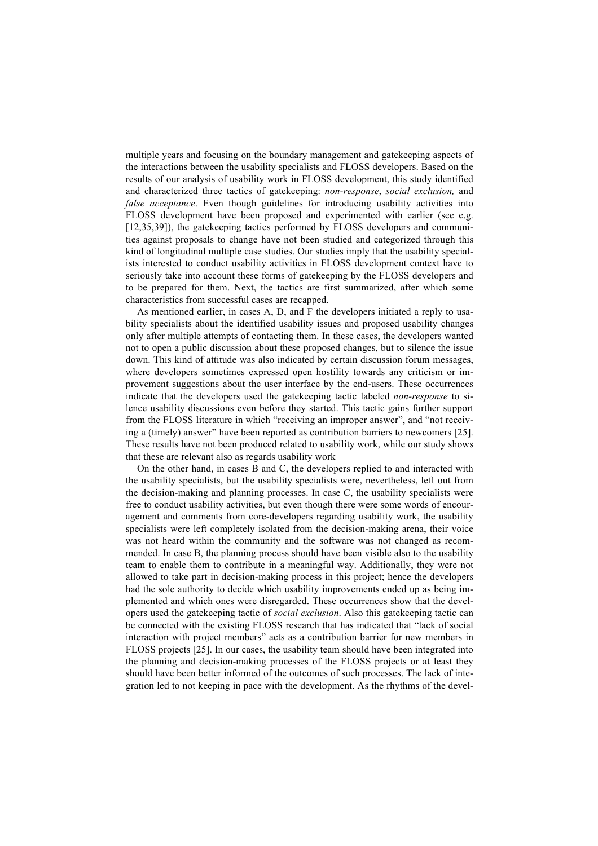multiple years and focusing on the boundary management and gatekeeping aspects of the interactions between the usability specialists and FLOSS developers. Based on the results of our analysis of usability work in FLOSS development, this study identified and characterized three tactics of gatekeeping: *non-response*, *social exclusion,* and *false acceptance*. Even though guidelines for introducing usability activities into FLOSS development have been proposed and experimented with earlier (see e.g. [12,35,39]), the gatekeeping tactics performed by FLOSS developers and communities against proposals to change have not been studied and categorized through this kind of longitudinal multiple case studies. Our studies imply that the usability specialists interested to conduct usability activities in FLOSS development context have to seriously take into account these forms of gatekeeping by the FLOSS developers and to be prepared for them. Next, the tactics are first summarized, after which some characteristics from successful cases are recapped.

As mentioned earlier, in cases A, D, and F the developers initiated a reply to usability specialists about the identified usability issues and proposed usability changes only after multiple attempts of contacting them. In these cases, the developers wanted not to open a public discussion about these proposed changes, but to silence the issue down. This kind of attitude was also indicated by certain discussion forum messages, where developers sometimes expressed open hostility towards any criticism or improvement suggestions about the user interface by the end-users. These occurrences indicate that the developers used the gatekeeping tactic labeled *non-response* to silence usability discussions even before they started. This tactic gains further support from the FLOSS literature in which "receiving an improper answer", and "not receiving a (timely) answer" have been reported as contribution barriers to newcomers [25]. These results have not been produced related to usability work, while our study shows that these are relevant also as regards usability work

On the other hand, in cases B and C, the developers replied to and interacted with the usability specialists, but the usability specialists were, nevertheless, left out from the decision-making and planning processes. In case C, the usability specialists were free to conduct usability activities, but even though there were some words of encouragement and comments from core-developers regarding usability work, the usability specialists were left completely isolated from the decision-making arena, their voice was not heard within the community and the software was not changed as recommended. In case B, the planning process should have been visible also to the usability team to enable them to contribute in a meaningful way. Additionally, they were not allowed to take part in decision-making process in this project; hence the developers had the sole authority to decide which usability improvements ended up as being implemented and which ones were disregarded. These occurrences show that the developers used the gatekeeping tactic of *social exclusion*. Also this gatekeeping tactic can be connected with the existing FLOSS research that has indicated that "lack of social interaction with project members" acts as a contribution barrier for new members in FLOSS projects [25]. In our cases, the usability team should have been integrated into the planning and decision-making processes of the FLOSS projects or at least they should have been better informed of the outcomes of such processes. The lack of integration led to not keeping in pace with the development. As the rhythms of the devel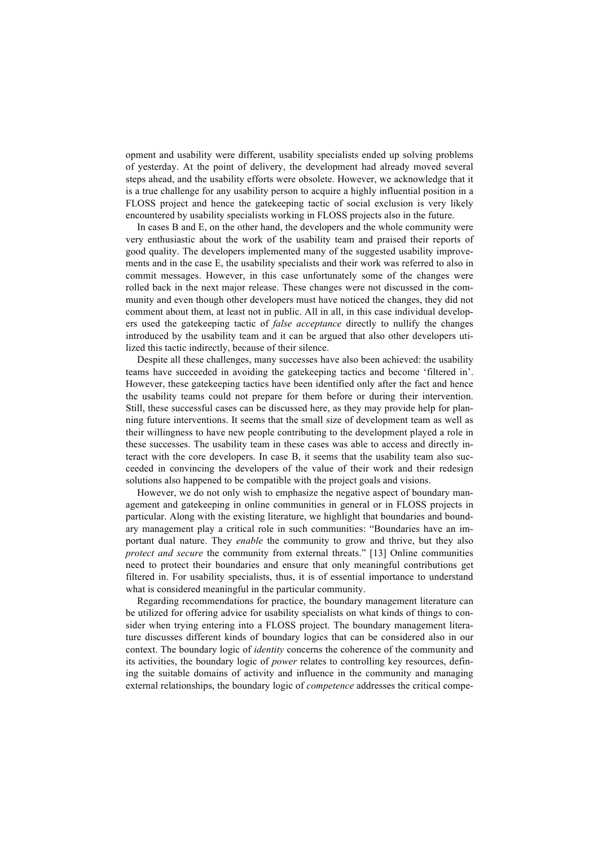opment and usability were different, usability specialists ended up solving problems of yesterday. At the point of delivery, the development had already moved several steps ahead, and the usability efforts were obsolete. However, we acknowledge that it is a true challenge for any usability person to acquire a highly influential position in a FLOSS project and hence the gatekeeping tactic of social exclusion is very likely encountered by usability specialists working in FLOSS projects also in the future.

In cases B and E, on the other hand, the developers and the whole community were very enthusiastic about the work of the usability team and praised their reports of good quality. The developers implemented many of the suggested usability improvements and in the case E, the usability specialists and their work was referred to also in commit messages. However, in this case unfortunately some of the changes were rolled back in the next major release. These changes were not discussed in the community and even though other developers must have noticed the changes, they did not comment about them, at least not in public. All in all, in this case individual developers used the gatekeeping tactic of *false acceptance* directly to nullify the changes introduced by the usability team and it can be argued that also other developers utilized this tactic indirectly, because of their silence.

Despite all these challenges, many successes have also been achieved: the usability teams have succeeded in avoiding the gatekeeping tactics and become 'filtered in'. However, these gatekeeping tactics have been identified only after the fact and hence the usability teams could not prepare for them before or during their intervention. Still, these successful cases can be discussed here, as they may provide help for planning future interventions. It seems that the small size of development team as well as their willingness to have new people contributing to the development played a role in these successes. The usability team in these cases was able to access and directly interact with the core developers. In case B, it seems that the usability team also succeeded in convincing the developers of the value of their work and their redesign solutions also happened to be compatible with the project goals and visions.

However, we do not only wish to emphasize the negative aspect of boundary management and gatekeeping in online communities in general or in FLOSS projects in particular. Along with the existing literature, we highlight that boundaries and boundary management play a critical role in such communities: "Boundaries have an important dual nature. They *enable* the community to grow and thrive, but they also *protect and secure* the community from external threats." [13] Online communities need to protect their boundaries and ensure that only meaningful contributions get filtered in. For usability specialists, thus, it is of essential importance to understand what is considered meaningful in the particular community.

Regarding recommendations for practice, the boundary management literature can be utilized for offering advice for usability specialists on what kinds of things to consider when trying entering into a FLOSS project. The boundary management literature discusses different kinds of boundary logics that can be considered also in our context. The boundary logic of *identity* concerns the coherence of the community and its activities, the boundary logic of *power* relates to controlling key resources, defining the suitable domains of activity and influence in the community and managing external relationships, the boundary logic of *competence* addresses the critical compe-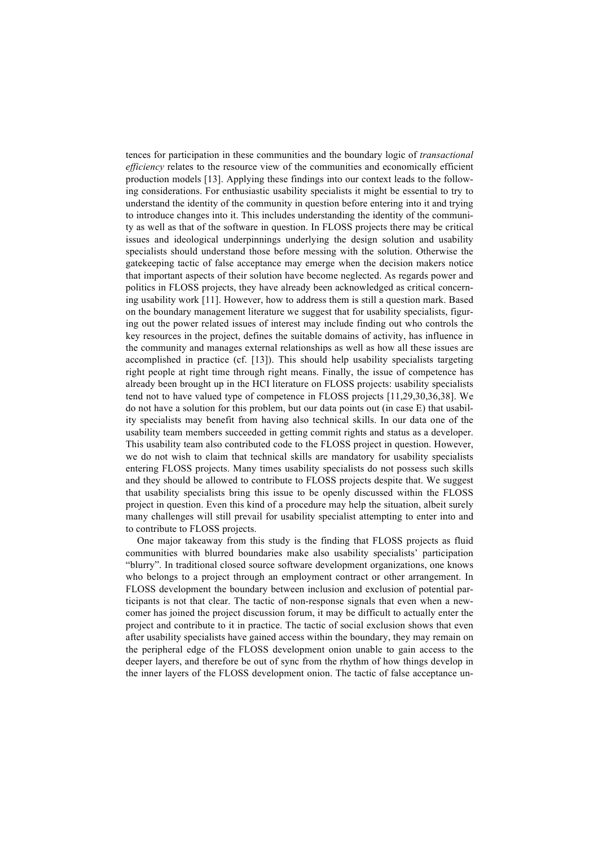tences for participation in these communities and the boundary logic of *transactional efficiency* relates to the resource view of the communities and economically efficient production models [13]. Applying these findings into our context leads to the following considerations. For enthusiastic usability specialists it might be essential to try to understand the identity of the community in question before entering into it and trying to introduce changes into it. This includes understanding the identity of the community as well as that of the software in question. In FLOSS projects there may be critical issues and ideological underpinnings underlying the design solution and usability specialists should understand those before messing with the solution. Otherwise the gatekeeping tactic of false acceptance may emerge when the decision makers notice that important aspects of their solution have become neglected. As regards power and politics in FLOSS projects, they have already been acknowledged as critical concerning usability work [11]. However, how to address them is still a question mark. Based on the boundary management literature we suggest that for usability specialists, figuring out the power related issues of interest may include finding out who controls the key resources in the project, defines the suitable domains of activity, has influence in the community and manages external relationships as well as how all these issues are accomplished in practice (cf. [13]). This should help usability specialists targeting right people at right time through right means. Finally, the issue of competence has already been brought up in the HCI literature on FLOSS projects: usability specialists tend not to have valued type of competence in FLOSS projects [11,29,30,36,38]. We do not have a solution for this problem, but our data points out (in case E) that usability specialists may benefit from having also technical skills. In our data one of the usability team members succeeded in getting commit rights and status as a developer. This usability team also contributed code to the FLOSS project in question. However, we do not wish to claim that technical skills are mandatory for usability specialists entering FLOSS projects. Many times usability specialists do not possess such skills and they should be allowed to contribute to FLOSS projects despite that. We suggest that usability specialists bring this issue to be openly discussed within the FLOSS project in question. Even this kind of a procedure may help the situation, albeit surely many challenges will still prevail for usability specialist attempting to enter into and to contribute to FLOSS projects.

One major takeaway from this study is the finding that FLOSS projects as fluid communities with blurred boundaries make also usability specialists' participation "blurry". In traditional closed source software development organizations, one knows who belongs to a project through an employment contract or other arrangement. In FLOSS development the boundary between inclusion and exclusion of potential participants is not that clear. The tactic of non-response signals that even when a newcomer has joined the project discussion forum, it may be difficult to actually enter the project and contribute to it in practice. The tactic of social exclusion shows that even after usability specialists have gained access within the boundary, they may remain on the peripheral edge of the FLOSS development onion unable to gain access to the deeper layers, and therefore be out of sync from the rhythm of how things develop in the inner layers of the FLOSS development onion. The tactic of false acceptance un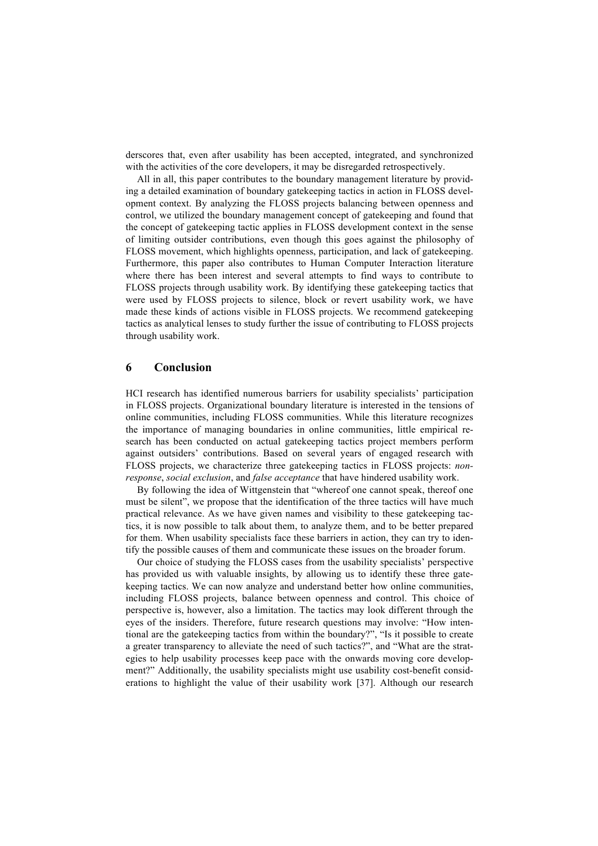derscores that, even after usability has been accepted, integrated, and synchronized with the activities of the core developers, it may be disregarded retrospectively.

All in all, this paper contributes to the boundary management literature by providing a detailed examination of boundary gatekeeping tactics in action in FLOSS development context. By analyzing the FLOSS projects balancing between openness and control, we utilized the boundary management concept of gatekeeping and found that the concept of gatekeeping tactic applies in FLOSS development context in the sense of limiting outsider contributions, even though this goes against the philosophy of FLOSS movement, which highlights openness, participation, and lack of gatekeeping. Furthermore, this paper also contributes to Human Computer Interaction literature where there has been interest and several attempts to find ways to contribute to FLOSS projects through usability work. By identifying these gatekeeping tactics that were used by FLOSS projects to silence, block or revert usability work, we have made these kinds of actions visible in FLOSS projects. We recommend gatekeeping tactics as analytical lenses to study further the issue of contributing to FLOSS projects through usability work.

# **6 Conclusion**

HCI research has identified numerous barriers for usability specialists' participation in FLOSS projects. Organizational boundary literature is interested in the tensions of online communities, including FLOSS communities. While this literature recognizes the importance of managing boundaries in online communities, little empirical research has been conducted on actual gatekeeping tactics project members perform against outsiders' contributions. Based on several years of engaged research with FLOSS projects, we characterize three gatekeeping tactics in FLOSS projects: *nonresponse*, *social exclusion*, and *false acceptance* that have hindered usability work.

By following the idea of Wittgenstein that "whereof one cannot speak, thereof one must be silent", we propose that the identification of the three tactics will have much practical relevance. As we have given names and visibility to these gatekeeping tactics, it is now possible to talk about them, to analyze them, and to be better prepared for them. When usability specialists face these barriers in action, they can try to identify the possible causes of them and communicate these issues on the broader forum.

Our choice of studying the FLOSS cases from the usability specialists' perspective has provided us with valuable insights, by allowing us to identify these three gatekeeping tactics. We can now analyze and understand better how online communities, including FLOSS projects, balance between openness and control. This choice of perspective is, however, also a limitation. The tactics may look different through the eyes of the insiders. Therefore, future research questions may involve: "How intentional are the gatekeeping tactics from within the boundary?", "Is it possible to create a greater transparency to alleviate the need of such tactics?", and "What are the strategies to help usability processes keep pace with the onwards moving core development?" Additionally, the usability specialists might use usability cost-benefit considerations to highlight the value of their usability work [37]. Although our research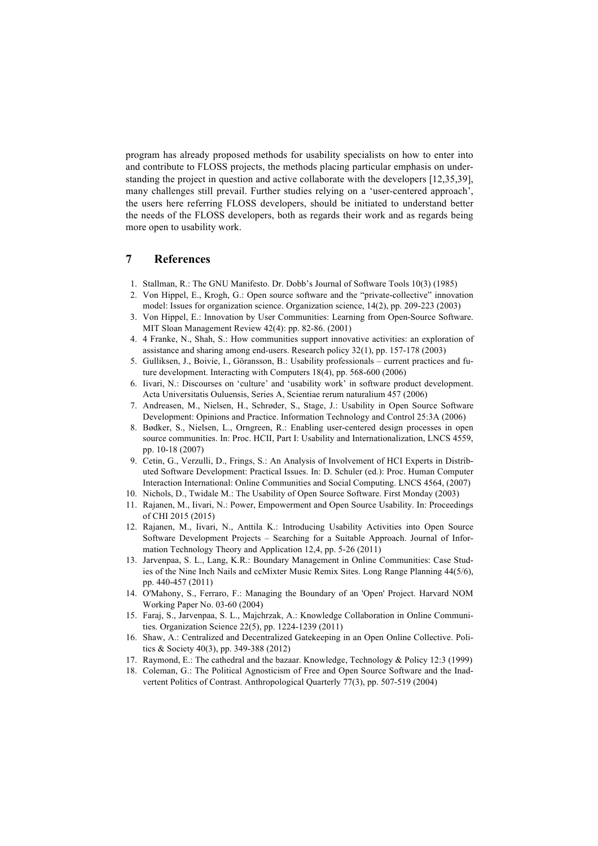program has already proposed methods for usability specialists on how to enter into and contribute to FLOSS projects, the methods placing particular emphasis on understanding the project in question and active collaborate with the developers [12,35,39], many challenges still prevail. Further studies relying on a 'user-centered approach', the users here referring FLOSS developers, should be initiated to understand better the needs of the FLOSS developers, both as regards their work and as regards being more open to usability work.

# **7 References**

- 1. Stallman, R.: The GNU Manifesto. Dr. Dobb's Journal of Software Tools 10(3) (1985)
- 2. Von Hippel, E., Krogh, G.: Open source software and the "private-collective" innovation model: Issues for organization science. Organization science, 14(2), pp. 209-223 (2003)
- 3. Von Hippel, E.: Innovation by User Communities: Learning from Open-Source Software. MIT Sloan Management Review 42(4): pp. 82-86. (2001)
- 4. 4 Franke, N., Shah, S.: How communities support innovative activities: an exploration of assistance and sharing among end-users. Research policy 32(1), pp. 157-178 (2003)
- 5. Gulliksen, J., Boivie, I., Göransson, B.: Usability professionals current practices and future development. Interacting with Computers 18(4), pp. 568-600 (2006)
- 6. Iivari, N.: Discourses on 'culture' and 'usability work' in software product development. Acta Universitatis Ouluensis, Series A, Scientiae rerum naturalium 457 (2006)
- 7. Andreasen, M., Nielsen, H., Schrøder, S., Stage, J.: Usability in Open Source Software Development: Opinions and Practice. Information Technology and Control 25:3A (2006)
- 8. Bødker, S., Nielsen, L., Orngreen, R.: Enabling user-centered design processes in open source communities. In: Proc. HCII, Part I: Usability and Internationalization, LNCS 4559, pp. 10-18 (2007)
- 9. Cetin, G., Verzulli, D., Frings, S.: An Analysis of Involvement of HCI Experts in Distributed Software Development: Practical Issues. In: D. Schuler (ed.): Proc. Human Computer Interaction International: Online Communities and Social Computing. LNCS 4564, (2007)
- 10. Nichols, D., Twidale M.: The Usability of Open Source Software. First Monday (2003)
- 11. Rajanen, M., Iivari, N.: Power, Empowerment and Open Source Usability. In: Proceedings of CHI 2015 (2015)
- 12. Rajanen, M., Iivari, N., Anttila K.: Introducing Usability Activities into Open Source Software Development Projects – Searching for a Suitable Approach. Journal of Information Technology Theory and Application 12,4, pp. 5-26 (2011)
- 13. Jarvenpaa, S. L., Lang, K.R.: Boundary Management in Online Communities: Case Studies of the Nine Inch Nails and ccMixter Music Remix Sites. Long Range Planning 44(5/6), pp. 440-457 (2011)
- 14. O'Mahony, S., Ferraro, F.: Managing the Boundary of an 'Open' Project. Harvard NOM Working Paper No. 03-60 (2004)
- 15. Faraj, S., Jarvenpaa, S. L., Majchrzak, A.: Knowledge Collaboration in Online Communities. Organization Science 22(5), pp. 1224-1239 (2011)
- 16. Shaw, A.: Centralized and Decentralized Gatekeeping in an Open Online Collective. Politics & Society 40(3), pp. 349-388 (2012)
- 17. Raymond, E.: The cathedral and the bazaar. Knowledge, Technology & Policy 12:3 (1999)
- 18. Coleman, G.: The Political Agnosticism of Free and Open Source Software and the Inadvertent Politics of Contrast. Anthropological Quarterly 77(3), pp. 507-519 (2004)